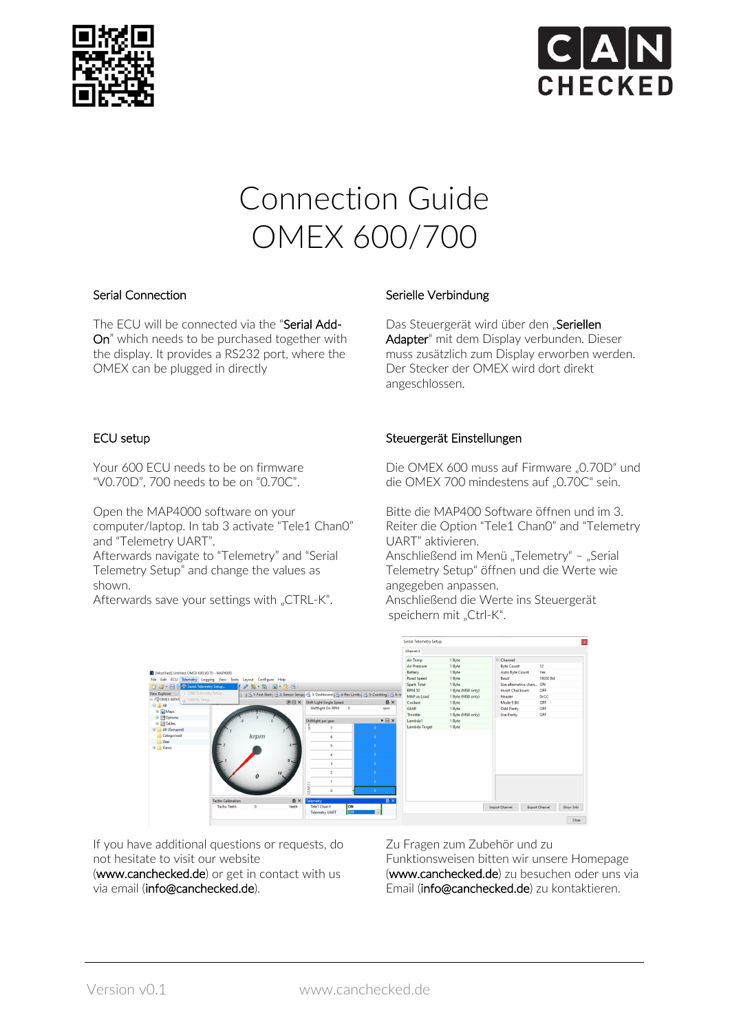



# Connection Guide OMEX 600/700

## Serial Connection

The ECU will be connected via the "Serial Add-On" which needs to be purchased together with the display. It provides a RS232 port, where the OMEX can be plugged in directly

### Serielle Verbindung

Das Steuergerät wird über den "Seriellen Adapter" mit dem Display verbunden. Dieser muss zusätzlich zum Display erworben werden. Der Stecker der OMEX wird dort direkt angeschlossen.

### ECU setup

Your 600 ECU needs to be on firmware "V0.70D", 700 needs to be on "0.70C".

Open the MAP4000 software on your computer/laptop. In tab 3 activate "Tele1 Chan0" and "Telemetry UART".

Afterwards navigate to "Telemetry" and "Serial Telemetry Setup" and change the values as shown.

Afterwards save your settings with "CTRL-K".

### Steuergerät Einstellungen

Die OMEX 600 muss auf Firmware "0.70D" und die OMEX 700 mindestens auf "0.70C" sein.

Bitte die MAP400 Software öffnen und im 3. Reiter die Option "Tele1 Chan0" and "Telemetry UART" aktivieren.

Anschließend im Menü "Telemetry" - "Serial Telemetry Setup" öffnen und die Werte wie angegeben anpassen.

Anschließend die Werte ins Steuergerät speichern mit "Ctrl-K".



If you have additional questions or requests, do not hesitate to visit our website

(www.canchecked.de) or get in contact with us via email (info@canchecked.de).

Zu Fragen zum Zubehör und zu

Funktionsweisen bitten wir unsere Homepage (www.canchecked.de) zu besuchen oder uns via Email (info@canchecked.de) zu kontaktieren.